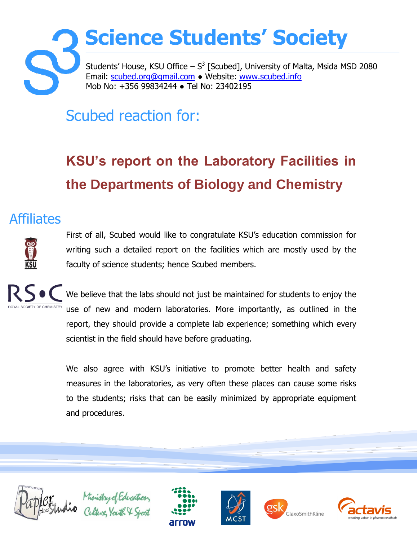## Students' House, KSU Office  $- S^3$  [Scubed], University of Malta, Msida MSD 2080 Email: scubed.org@gmail.com ● Website: www.scubed.info Mob No: +356 99834244 ● Tel No: 23402195  **Science Students' Society**

## Scubed reaction for:

## **KSU's report on the Laboratory Facilities in the Departments of Biology and Chemistry**

## Affiliates



First of all, Scubed would like to congratulate KSU's education commission for writing such a detailed report on the facilities which are mostly used by the faculty of science students; hence Scubed members.



We believe that the labs should not just be maintained for students to enjoy the use of new and modern laboratories. More importantly, as outlined in the report, they should provide a complete lab experience; something which every scientist in the field should have before graduating.

We also agree with KSU's initiative to promote better health and safety measures in the laboratories, as very often these places can cause some risks to the students; risks that can be easily minimized by appropriate equipment and procedures.